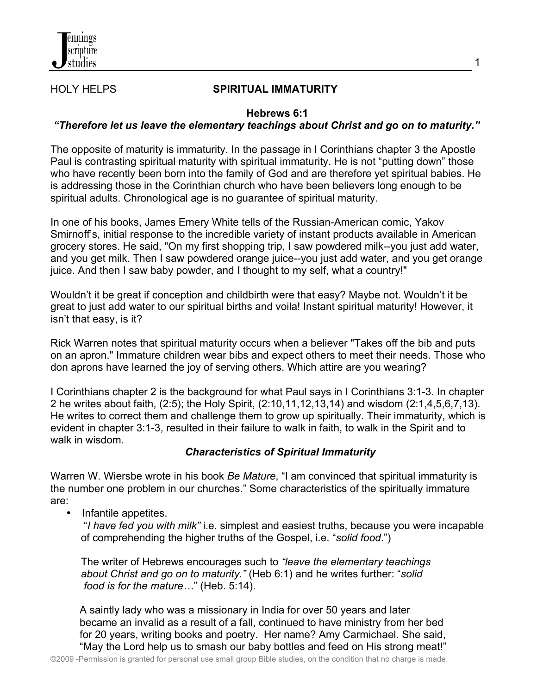

## HOLY HELPS **SPIRITUAL IMMATURITY**

1

## **Hebrews 6:1**

## *"Therefore let us leave the elementary teachings about Christ and go on to maturity."*

The opposite of maturity is immaturity. In the passage in I Corinthians chapter 3 the Apostle Paul is contrasting spiritual maturity with spiritual immaturity. He is not "putting down" those who have recently been born into the family of God and are therefore yet spiritual babies. He is addressing those in the Corinthian church who have been believers long enough to be spiritual adults. Chronological age is no guarantee of spiritual maturity.

In one of his books, James Emery White tells of the Russian-American comic, Yakov Smirnoff's, initial response to the incredible variety of instant products available in American grocery stores. He said, "On my first shopping trip, I saw powdered milk--you just add water, and you get milk. Then I saw powdered orange juice--you just add water, and you get orange juice. And then I saw baby powder, and I thought to my self, what a country!"

Wouldn't it be great if conception and childbirth were that easy? Maybe not. Wouldn't it be great to just add water to our spiritual births and voila! Instant spiritual maturity! However, it isn't that easy, is it?

Rick Warren notes that spiritual maturity occurs when a believer "Takes off the bib and puts on an apron." Immature children wear bibs and expect others to meet their needs. Those who don aprons have learned the joy of serving others. Which attire are you wearing?

I Corinthians chapter 2 is the background for what Paul says in I Corinthians 3:1-3. In chapter 2 he writes about faith, (2:5); the Holy Spirit, (2:10,11,12,13,14) and wisdom (2:1,4,5,6,7,13). He writes to correct them and challenge them to grow up spiritually. Their immaturity, which is evident in chapter 3:1-3, resulted in their failure to walk in faith, to walk in the Spirit and to walk in wisdom.

## *Characteristics of Spiritual Immaturity*

Warren W. Wiersbe wrote in his book *Be Mature*, "I am convinced that spiritual immaturity is the number one problem in our churches." Some characteristics of the spiritually immature are:

• Infantile appetites.

 "*I have fed you with milk"* i.e. simplest and easiest truths, because you were incapable of comprehending the higher truths of the Gospel, i.e. "*solid food*.")

 The writer of Hebrews encourages such to *"leave the elementary teachings about Christ and go on to maturity."* (Heb 6:1) and he writes further: "*solid food is for the mature…*" (Heb. 5:14).

 A saintly lady who was a missionary in India for over 50 years and later became an invalid as a result of a fall, continued to have ministry from her bed for 20 years, writing books and poetry. Her name? Amy Carmichael. She said, "May the Lord help us to smash our baby bottles and feed on His strong meat!"